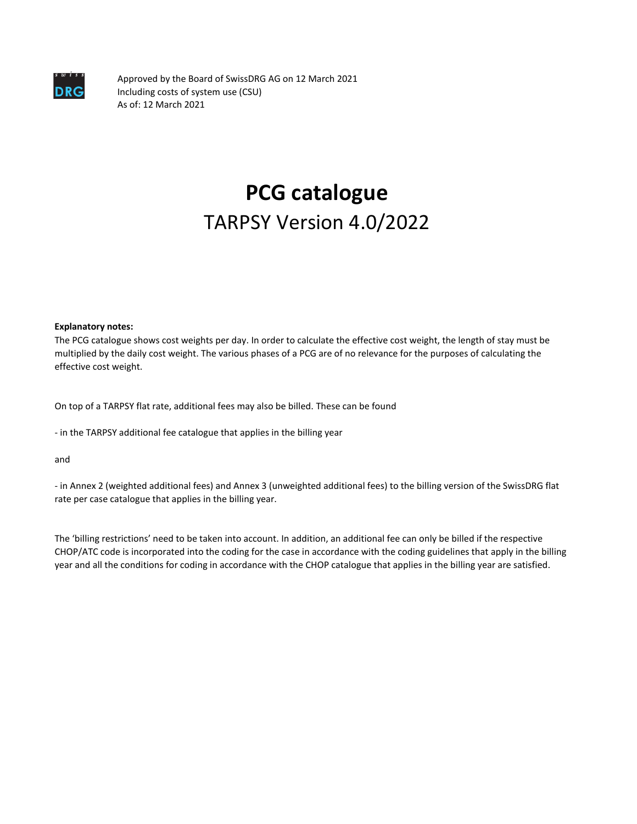

Approved by the Board of SwissDRG AG on 12 March 2021 Including costs of system use (CSU) As of: 12 March 2021

# **PCG catalogue** TARPSY Version 4.0/2022

**Explanatory notes:**

The PCG catalogue shows cost weights per day. In order to calculate the effective cost weight, the length of stay must be multiplied by the daily cost weight. The various phases of a PCG are of no relevance for the purposes of calculating the effective cost weight.

On top of a TARPSY flat rate, additional fees may also be billed. These can be found

- in the TARPSY additional fee catalogue that applies in the billing year

and

- in Annex 2 (weighted additional fees) and Annex 3 (unweighted additional fees) to the billing version of the SwissDRG flat rate per case catalogue that applies in the billing year.

The 'billing restrictions' need to be taken into account. In addition, an additional fee can only be billed if the respective CHOP/ATC code is incorporated into the coding for the case in accordance with the coding guidelines that apply in the billing year and all the conditions for coding in accordance with the CHOP catalogue that applies in the billing year are satisfied.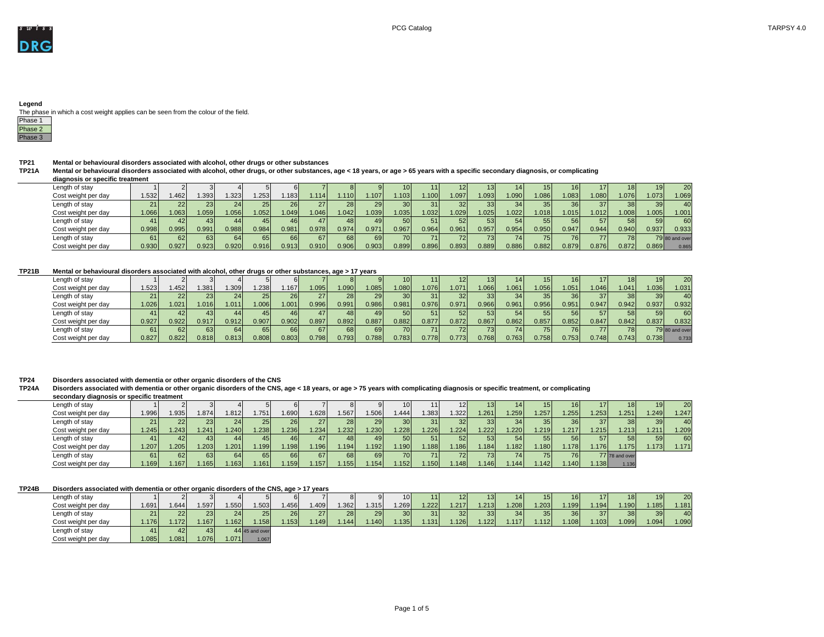

The phase in which a cost weight applies can be seen from the colour of the field.

| ase     |
|---------|
|         |
| ลร<br>e |

**TP21 Mental or behavioural disorders associated with alcohol, other drugs or other substances**

**TP21A Mental or behavioural disorders associated with alcohol, other drugs, or other substances, age < 18 years, or age > 65 years with a specific secondary diagnosis, or complicating diagnosis or specific treatment**

| Length of stay      |                    |                 |       |              |       |                    |       |       |                    |                 |                   | 12 I            | 131   | 141               | 151             |       |       |       | 191   | 20 I           |
|---------------------|--------------------|-----------------|-------|--------------|-------|--------------------|-------|-------|--------------------|-----------------|-------------------|-----------------|-------|-------------------|-----------------|-------|-------|-------|-------|----------------|
| Cost weight per day | .532               | .462            | .393  | .323         | .253  | .183               | .114  | .110  | .107 <sup>1</sup>  | .103            | .100 <sub>l</sub> | .097            | .093  | .090 <sub>l</sub> | .086            | .083  | 1.080 | .076  | .073  | .069           |
| Length of stay      |                    |                 | 23    | $24^{\circ}$ | 251   | 261                |       |       | 29 I               | 30 <sub>l</sub> |                   | 32 <sub>l</sub> | 33I   | 34 <sub>l</sub>   | 35 <sub>l</sub> | 36I   | 37I   | 38 I  |       | 40             |
| Cost weight per day | .066               | $\mathsf{.063}$ | .059  | .056         | 1.052 | 1.049              | .046  | .042  | .039               | .035            | .032              | .029            | .025  | .022              | .018            | 1.015 | 1.012 | .008  | .005  | 1.001          |
| Length of stay      | 41 <sup>′</sup>    |                 | 43 I  |              | 45 I  | 461                |       |       | 491                |                 | 511               | 52 <sub>l</sub> | 53I   | 54                | 55 I            | 56I   | 57    | 58 I  | 591   | 60             |
| Cost weight per day | 0.998              | 0.995           | 0.991 | 0.988        | 0.984 | 7.981 <sub>1</sub> | 0.978 | 0.974 | 0.971              | 0.967           | 0.964             | 0.961           | 0.957 | 0.954             | $0.950\vert$    | 0.947 | 0.944 | 0.940 | 0.937 | 0.933          |
| Length of stay      |                    |                 | 631   |              | 65I   | 66                 | 67    | 68    | 69                 | 70I             |                   | 72I             |       | 74                | 75I             | 761   |       | 78I   |       | 79 80 and over |
| Cost weight per day | 0.930 <sub>1</sub> | 0.927           | 0.923 | 0.920,       | 0.916 | 0.913              | 0.910 | 0.906 | 0.903 <sub>1</sub> | 0.899           | 0.896             | 0.893           | 0.889 | 0.886             | 0.882           | 0.879 | 0.876 | 0.872 | 0.869 | 0.865          |

**TP21B Mental or behavioural disorders associated with alcohol, other drugs or other substances, age > 17 years**

| Length of stay      |       |        |       |                 |       |                    |       |                   |           |       |       | $\mathsf{12}^{\mathsf{r}}$ |                 |       |       |       |            |                    |                 | 20 <sub>l</sub> |
|---------------------|-------|--------|-------|-----------------|-------|--------------------|-------|-------------------|-----------|-------|-------|----------------------------|-----------------|-------|-------|-------|------------|--------------------|-----------------|-----------------|
| Cost weight per day | 1.523 | .452   | .381  | .309            | 1.238 | .167               | .095  | .090 <sub>1</sub> | 1.085     | .080  | .076  | 1.071                      | .066            | .061  | .056  | 1.051 | 1.046      | .041               | .036            | 1.031           |
| Length of stay      | ا 21  | 22I    | 23    | 24 <sub>l</sub> | 25 I  | 26I                | 27.   | 28 I              | 29        |       |       | 32I                        | 33 I            |       |       |       | 37         | 38 I               | 39 <sub>l</sub> | 40              |
| Cost weight per day | 1.026 | .021   | .016  | .011            | 1.006 | 1.001              | 0.996 | 0.991             | 0.986     | 0.981 | 0.976 | 0.971                      | 0.966           | 0.961 | 0.956 | 0.951 | 0.947      | 0.942              | 0.937           | 0.932           |
| Length of stay      |       | 42 I   | 431   | 44 I            | 45I   | 46                 |       | 48 I              | 49        | 50I   | 51    | 52I                        | 53I             | 54    |       | 56'   | 57         | 58 <sub>l</sub>    | 591             | 60              |
| Cost weight per day | 0.927 | 0.922  | 0.917 | 0.912           | 0.907 | 0.902              | 0.897 | 0.892             | 0.887     | 0.882 | 0.877 | 0.872                      | 0.867           | 0.862 | 0.857 | 0.852 | 0.847      | 0.842              | 0.837           | 0.832           |
| Length of stay      |       | 62I    | 63    | 64 I            | 65 I  | 66                 |       | 68 I              | <b>69</b> | 70 I  |       | 72I                        | 73 <sub>h</sub> | 74    |       |       | <b>771</b> | 78 I               |                 | 79 80 and over  |
| Cost weight per day | 0.827 | 0.8221 | 0.818 | 0.813           | 0.808 | 0.803 <sub>1</sub> | 0.798 | 0.793             | 0.788     | 0.783 | 0.778 | 0.773                      | 0.768           | 0.763 | 0.758 | 0.753 | 0.748      | 2.743 <sub>1</sub> | 0.738           | 0.733           |

**TP24 Disorders associated with dementia or other organic disorders of the CNS**

**TP24A Disorders associated with dementia or other organic disorders of the CNS, age < 18 years, or age > 75 years with complicating diagnosis or specific treatment, or complicating secondary diagnosis or specific treatment**

| .                   |       |      |                 |       |       |       |      |                 |       |                 |      |       |       |      |                 |       |                 |                |                 |       |
|---------------------|-------|------|-----------------|-------|-------|-------|------|-----------------|-------|-----------------|------|-------|-------|------|-----------------|-------|-----------------|----------------|-----------------|-------|
| Length of stay      |       |      |                 |       |       |       |      |                 |       | 10I             |      |       |       | 4    |                 |       |                 |                |                 | 20    |
| Cost weight per day | 1.996 | .935 | .874            | .812  | .751  | .690  | .628 | .567            | .506  | .444            | .383 | .322  | 1.261 | .259 | .257            | 1.255 | 1.253           | .251           | 1.249           | .247  |
| Length of stay      |       |      | 23 <sub>l</sub> | 24    | 25    | 26    | 27 I | 28 <sub>l</sub> | 29    | 30 <sup>1</sup> | 31   | 32I   | 33I   | 34   |                 |       | 37 <sup>l</sup> | 38             | 39 <sub>l</sub> | 40    |
| Cost weight per day | .245  | .243 | .241            | .240  | 1.238 | 1.236 | .234 | .232            | 1.230 | 1.228           | .226 | 1.224 | 1.222 | .220 | .219            | 1.217 | 1.215           | .213           | 1.211           | .209  |
| Length of stay      |       |      | 43 I            |       |       | 461   |      | 48 I            | 49 I  | 50 <sup>1</sup> | 51   |       | 53I   | 54 I | 55 <sub>1</sub> | 56I   | 57              | 58             | 59              | 60    |
| Cost weight per day | .207  | .205 | .203            | 1.201 | .199  | .198  | .196 | .194            | .192  | 1.190           | .188 | 1.186 | .184  | .182 | .180            | .178  | .176            | .175           | .173            | 1.171 |
| Length of stay      |       |      | 63              | 64    | 65    | 66    | 67I  | 68 <sup>I</sup> | 69    | <b>70</b>       |      | 72I   | 73I   | 741  |                 | 76.   |                 | 77 78 and over |                 |       |
| Cost weight per day | .1691 | .167 | .165            | .163  | .161  | .159  | .157 | .155            | .154  | .152            | .150 | .148  | 1.146 | .144 | .142            | .140  | .138            | 1.136          |                 |       |

**TP24B Disorders associated with dementia or other organic disorders of the CNS, age > 17 years**

| Length of stay      |       |       |                 |      |                  | 61   |      |      |       | 10)             |      |                 |       |                     | 15k  | 16I  | 17 N | 18 <sup>1</sup> | 19 <sup>1</sup> | 20 <sub>l</sub> |
|---------------------|-------|-------|-----------------|------|------------------|------|------|------|-------|-----------------|------|-----------------|-------|---------------------|------|------|------|-----------------|-----------------|-----------------|
| Cost weight per day | 1.691 | .644  | .597            | .550 | .503             | .456 | .409 | .362 | 1.315 | .269            | .222 | 1.217           | 1.213 | .208                | .203 | .199 | .194 | .190            | 1.185           | 1.181           |
| Length of stay      | 21    | 22    | 23              | 24   | 25               | 26   | 271  | 28   | 29    | 30 <sup>1</sup> | 31   | 32 <sub>1</sub> | 33    | 34                  | 35   | 36   | 37   | 38              | 39              | 40              |
| Cost weight per day | 1.176 | 1.172 | .167            | .162 | .158             | .153 | .149 | .144 | .140  | .135            | .131 | .126            | .122  | $.117$ <sup>r</sup> | .112 | .108 | .103 | .099            | 1.094           | .090            |
| Length of stay      | 41 I  | 42.   | 43 <sub>l</sub> |      | $44$ 45 and over |      |      |      |       |                 |      |                 |       |                     |      |      |      |                 |                 |                 |
| Cost weight per day | 1.085 | 1.081 | .076            | .071 | 1.067            |      |      |      |       |                 |      |                 |       |                     |      |      |      |                 |                 |                 |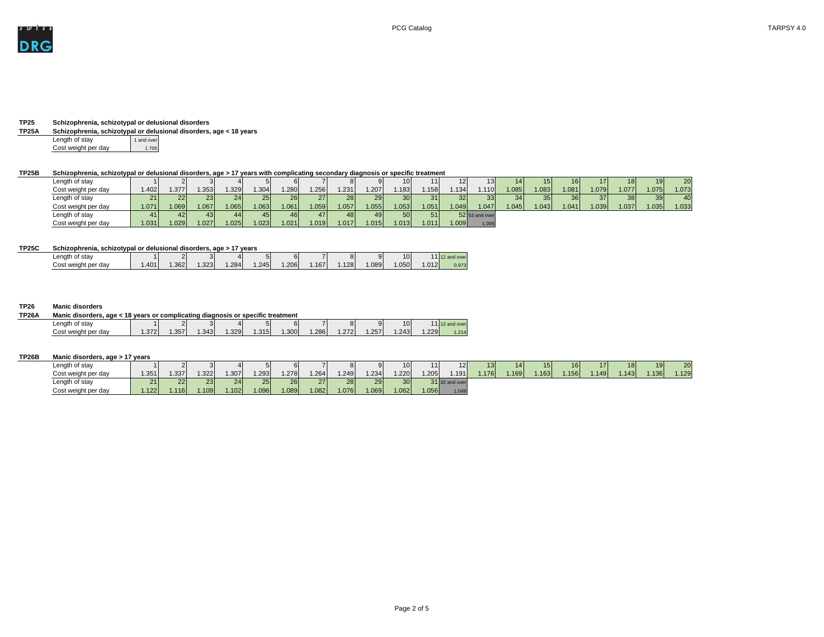

# **TP25 Schizophrenia, schizotypal or delusional disorders**

# **TP25A Schizophrenia, schizotypal or delusional disorders, age < 18 years**

| Length of stay      | 1 and over |
|---------------------|------------|
| Cost weight per day | 1.705      |

# **TP25B Schizophrenia, schizotypal or delusional disorders, age > 17 years with complicating secondary diagnosis or specific treatment**

| Length of stay      |       |      |      |      |      | 61   |                 |      | 91   | 10 <sup>1</sup> |       | 12    | 13 <sup>1</sup>  | 14I  | 15 <sub>l</sub> | 16 <sup>l</sup> | 17 I | 18 <sup>l</sup> | 191   | 20 <sub>l</sub> |
|---------------------|-------|------|------|------|------|------|-----------------|------|------|-----------------|-------|-------|------------------|------|-----------------|-----------------|------|-----------------|-------|-----------------|
| Cost weight per day | 1.402 | .377 | .353 | .329 | .304 | .280 | .256            | .231 | .207 | .183            | .158  | 1.134 | 1.110            | .085 | .083            | 1.081           | .079 | .077'           | l.075 | 1.073           |
| Length of stay      | 21    | 22   | 23   | 24   | 25   | 26   | 27 <sup>1</sup> | 28 l | 29   | 30 <sup>1</sup> | 31    | 32    | 33               | 34   | 35 <sup>1</sup> | 36 <sup>l</sup> | 37   | 38 <sup>1</sup> | 39 I  | 40              |
| Cost weight per day | 1.071 | .069 | .067 | .065 | .063 | .061 | .059            | .057 | .055 | .053            | .051  | 1.049 | 1.047            | .045 | .043            | 1.041           | .039 | .037            | .035  | 1.033           |
| Length of stay      |       |      | 43 I | 44 I | 45   | 46   | 47 <sup>′</sup> | 48 I | 49   | 50 <sub>l</sub> | 51    |       | $52$ 53 and over |      |                 |                 |      |                 |       |                 |
| Cost weight per day | 1.031 | .029 | .027 | .025 | .023 | .021 | .019            | .017 | .015 | .013            | 1.011 | 1.009 | 1.006            |      |                 |                 |      |                 |       |                 |

# **TP25C Schizophrenia, schizotypal or delusional disorders, age > 17 years**

| ----------          |       |      | ------------------ | ___               | ------ |      |      |     |      |      |      |                                 |
|---------------------|-------|------|--------------------|-------------------|--------|------|------|-----|------|------|------|---------------------------------|
| ∟ength<br>of stav   |       |      |                    |                   |        | б١   |      |     |      | 10   |      | $\sqrt{1 + \alpha}$<br>and over |
| Cost weight per day | .401V | .362 | 2221<br>∴ა∠ა+      | .284 <sup>1</sup> | .245   | .206 | .167 | 128 | .089 | .050 | .012 | 0.973                           |
|                     |       |      |                    |                   |        |      |      |     |      |      |      |                                 |

# **TP26 Manic disorders**

| <b>TP26A</b> | Manic disorders, age < 18 years or complicating diagnosis or specific treatment |      |           |      |                   |      |                   |      |         |      |      |      |                   |
|--------------|---------------------------------------------------------------------------------|------|-----------|------|-------------------|------|-------------------|------|---------|------|------|------|-------------------|
|              | $L$ ength of stay                                                               |      | $\bigcap$ |      |                   |      |                   |      | О<br>ÕΙ | 91   | 10   |      | $-11$ 12 and ove. |
|              | Cost weight per day                                                             | .372 | .357      | .343 | .329 <sub>1</sub> | .315 | .300 <sub>1</sub> | .286 | .272    | .257 | .243 | .229 | 1.214             |

# **TP26B Manic disorders, age > 17 years**

| Length of stay      |      |      |      |       |            | 61    |       |       |       | 10.             |      | 12                    |      |       |      |      |      | 18I'  | 19I  | 20 <sub>l</sub> |
|---------------------|------|------|------|-------|------------|-------|-------|-------|-------|-----------------|------|-----------------------|------|-------|------|------|------|-------|------|-----------------|
| Cost weight per day | .351 | .337 | .322 | 1.307 | 1.293      | .278  | .264  | 1.249 | 1.234 | .220            | .205 | 191 l                 | .176 | .169' | .163 | .156 | .149 | .1431 | .136 | .129            |
| Length of stay      |      | 22 l | 23   | 24    | <b>251</b> | 26    | 271   | 28    | 29    | 30 <sup>°</sup> |      | <b>31</b> 32 and over |      |       |      |      |      |       |      |                 |
| Cost weight per day | .122 | .116 | .109 | .102  | 1.096      | 1.089 | 1.082 | 1.076 | 1.069 | .062            | .056 | 1.049                 |      |       |      |      |      |       |      |                 |

| TARPSY 4.0 |  |  |
|------------|--|--|
|------------|--|--|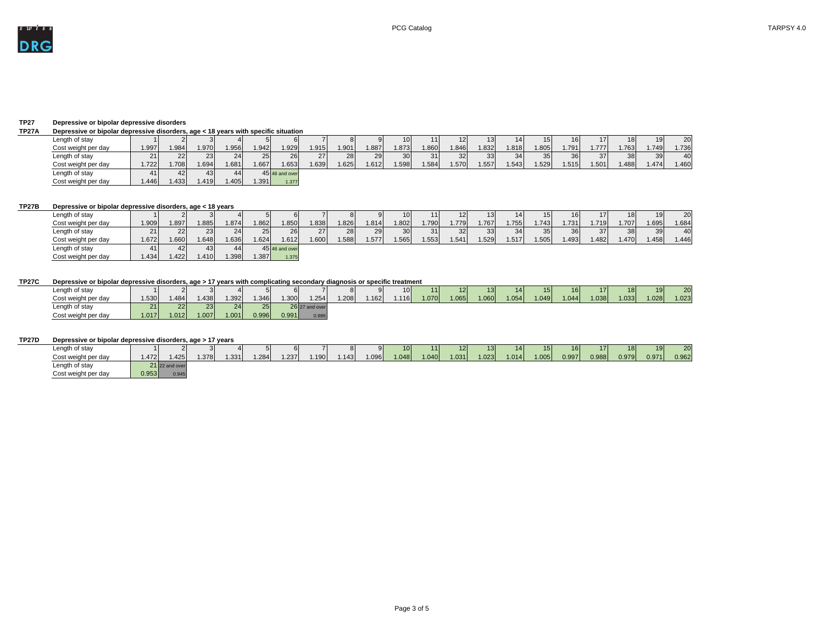

# **TP27 Depressive or bipolar depressive disorders**

# **TP27A Depressive or bipolar depressive disorders, age < 18 years with specific situation**

|                     |       |       | - - -           |         |       |                |       |      |      |                 |      |                 |                 |                   |      |      |       |      |                 |                 |
|---------------------|-------|-------|-----------------|---------|-------|----------------|-------|------|------|-----------------|------|-----------------|-----------------|-------------------|------|------|-------|------|-----------------|-----------------|
| Length of stay      |       |       |                 |         |       |                |       |      | 91   | 10 <sup>1</sup> |      | 12 <sub>1</sub> | 13 <sup>l</sup> | 14I               |      |      | 17I   | 18   | 19 I            | 20 <sub>l</sub> |
| Cost weight per day | 1.997 | 1.984 | 1.970           | ا956. ا | 1.942 | 1.929          | 1.915 | .901 | .887 | .873            | .860 | .846            | .832            | .818 <sup>1</sup> | .805 | .791 | . 777 | .763 | .749            | .736            |
| Length of stay      |       | 22    | 23 <sub>1</sub> | 24      | 25    | 26             | 27    | 28   | 29   | 30 <sub>l</sub> | 31   | 32              | 33              | 34                | 35   | 361  | 37I   | 38   | 39 <sub>l</sub> | 40              |
| Cost weight per day | .722  | 1.708 | .694            | 1.681   | 1.667 | 1.653          | .639  | .625 | .612 | .598            | .584 | .570            | .557            | .543              | .529 | .515 | 1.501 | .488 | .474            | .460            |
| Length of stay      |       |       | 43 I            |         |       | 45 46 and over |       |      |      |                 |      |                 |                 |                   |      |      |       |      |                 |                 |
| Cost weight per day | .446  | 1.433 | .419            | .405    | l.391 | 1.377          |       |      |      |                 |      |                 |                 |                   |      |      |       |      |                 |                 |

# **TP27B Depressive or bipolar depressive disorders, age < 18 years**

| Length of stay      |       |       |       |      |                 | 61             |      | 81   | 91    | 10 <sup>1</sup> |      | 12I  |       |                 | 15I  | 16I  | 17I  | 18 <sup>1</sup> | 19 <sup>1</sup> | 20 <sup>1</sup> |
|---------------------|-------|-------|-------|------|-----------------|----------------|------|------|-------|-----------------|------|------|-------|-----------------|------|------|------|-----------------|-----------------|-----------------|
| Cost weight per day | 1.909 | 1.897 | .885  | .874 | .862            | .850           | .838 | .826 | 1.814 | .802            | .790 | .779 | 1.767 | .755            | .743 | .731 | .719 | .707            | 1.695           | 1.684           |
| Length of stay      | 211   | 221   | 23    | 24   | 25 <sub>l</sub> | 26             | 27   | 28   | 29    | 30 <sup>l</sup> | 31   | 32   | 33    | 34 <sub>l</sub> | 35   | 36I  | 37I  | 38 <sup>l</sup> | 39 <sub>l</sub> | 40              |
| Cost weight per day | .672  | 1.660 | .648  | .636 | .624            | .612           | .600 | .588 | 1.577 | .565            | .553 | .541 | .529  | .517            | .505 | .493 | .482 | .470            | .458            | 1.446           |
| Length of stay      |       |       | 43    | 441  |                 | 45 46 and over |      |      |       |                 |      |      |       |                 |      |      |      |                 |                 |                 |
| Cost weight per day | .434  | .422  | i 410 | .398 | .387            | 1.375          |      |      |       |                 |      |      |       |                 |      |      |      |                 |                 |                 |

# **TP27C Depressive or bipolar depressive disorders, age > 17 years with complicating secondary diagnosis or specific treatment**

| Length of stay      |      |       |      |          |       |       |                  |      | QI   | 10 <sup>1</sup> |      | 12   | 13 <sup>l</sup> | 141   |       | 16I   | <u>171</u> | 18   | 19 <sup>l</sup> | 20 <sup>1</sup> |
|---------------------|------|-------|------|----------|-------|-------|------------------|------|------|-----------------|------|------|-----------------|-------|-------|-------|------------|------|-----------------|-----------------|
| Cost weight per day | .530 | .484  | .438 | .392     | .346  | .300  | .254             | .208 | .162 | .116            | .070 | .065 | 0001            | 1.054 | 1.049 | 1.044 | 1.038      | .033 | 1.028           | 1.023           |
| Length of stay      | 21   |       | 23   | $\Omega$ | つに    |       | $26$ 27 and over |      |      |                 |      |      |                 |       |       |       |            |      |                 |                 |
| Cost weight per day | .017 | 1.012 | .007 | 1.001    | 0.996 | 0.991 | 0.986            |      |      |                 |      |      |                 |       |       |       |            |      |                 |                 |

# **TP27D Depressive or bipolar depressive disorders, age > 17 years**

| Length of stay      |       |                  |       |      |      | 61   |      | $\Omega$<br>O. | QΙ   | 10I   |      | 12 <sub>1</sub> | 13I   | 14I   |       |       | 17I   | 18 <sup>l</sup> | 19 I  | 20    |
|---------------------|-------|------------------|-------|------|------|------|------|----------------|------|-------|------|-----------------|-------|-------|-------|-------|-------|-----------------|-------|-------|
| Cost weight per day | .472  | .425             | 1.378 | .331 | .284 | .237 | .190 | .143           | .096 | 1.048 | .040 | 1.031           | 1.023 | 1.014 | 1.005 | 0.997 | 0.988 | 0.979           | 0.971 | 0.962 |
| Length of stay      |       | $21$ 22 and over |       |      |      |      |      |                |      |       |      |                 |       |       |       |       |       |                 |       |       |
| Cost weight per day | 0.953 | 0.945            |       |      |      |      |      |                |      |       |      |                 |       |       |       |       |       |                 |       |       |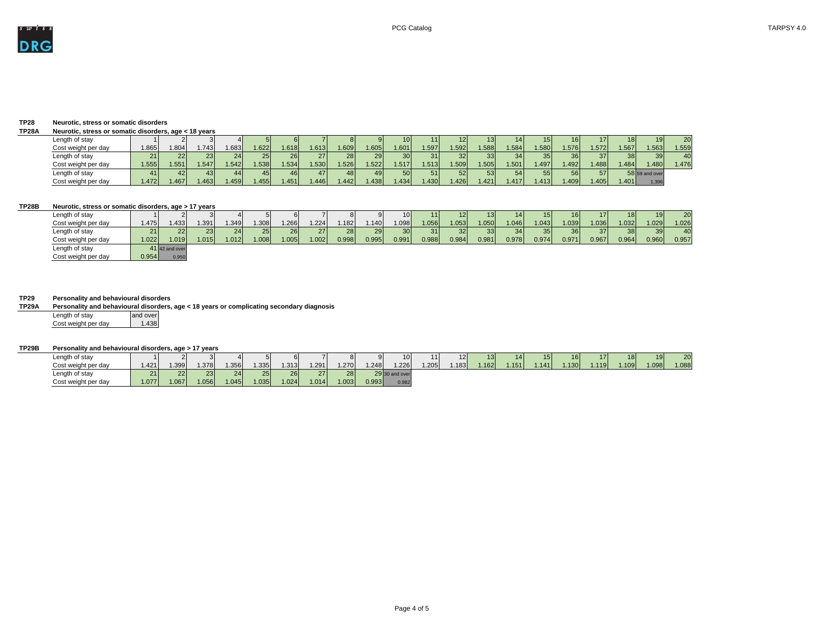# **TP28 Neurotic, stress or somatic disorders**

### **TP28A Neurotic, stress or somatic disorders, age < 18 years**

| Length of stay      |       |      |      |      |      | 61              |                 |                 |       |                 |      | '2I   | 131  | 14    |      |      |            |      |                   | 20 <sup>1</sup> |
|---------------------|-------|------|------|------|------|-----------------|-----------------|-----------------|-------|-----------------|------|-------|------|-------|------|------|------------|------|-------------------|-----------------|
| Cost weight per day | .865  | .804 | .743 | .683 | .622 | .618            | .613            | .609            | 1.605 | 1.601           | .597 | .592  | .588 | .584  | .580 | .576 | .572       | .567 | .563              | 1.559           |
| Length of stay      |       |      | 231  | 24   | 25I  | 26 <sup>1</sup> | 27 <sub>l</sub> | 28 <sub>l</sub> | 29    | 30 <sub>l</sub> | 31I  | 32 I  | 33I  | 34    |      |      | <b>371</b> | 38   | 39                | 40              |
| Cost weight per day | 1.555 | .551 | .547 | .542 | .538 | .534            | .530            | .526            | .522  | 1.517'          | .513 | .509  | .505 | .501  | .497 | .492 | .488       | .484 | .480 <sup>′</sup> | .476'           |
| Length of stay      |       |      | 43 I | 44 I | 45 I | 46              | 47 I            | 48 I            |       | <b>50</b>       | 51   | 52 I  | 53   | 54    |      | 56I  | <b>57</b>  |      | $58$ 59 and over  |                 |
| Cost weight per day | .472  | .467 | 463  | .459 | .455 | .451            | .446            | .442            | .438  | .434            | .430 | .4261 | .421 | .417' | .413 | .409 | .405       | .401 | 1.396             |                 |

**TP29 Personality and behavioural disorders Personality and behavioural disorders, age < 18 years or complicating secondary diagnosis** Length of stay<br>Cost weight per day 1.438 Cost weight per day

# **TP28B Neurotic, stress or somatic disorders, age > 17 years**

| Length of stay      |       |                  |        |      |       |       |       |                 |       | 10 <sup>1</sup> | 11 I  | 12 I            | 13I   | 141   | 151   | 16I   |       | 18 I            | 19I             | 20 <sub>l</sub> |
|---------------------|-------|------------------|--------|------|-------|-------|-------|-----------------|-------|-----------------|-------|-----------------|-------|-------|-------|-------|-------|-----------------|-----------------|-----------------|
| Cost weight per day | 1.475 | 433              | 1.391' | .349 | 1.308 | .266  | .224  | .182            | 1.140 | .098            | .056  | 1.053           | 1.050 | .046  | .043  | 1.039 | 1.036 | 1.032           | 1.029           | 1.026           |
| Length of stay      | 21 I  | 22               | 23     | 24   | 25    | 26    | 27    | 28 <sub>l</sub> | 29    | 30 <sup>1</sup> | 31    | 32 <sup>2</sup> | 33    | 34    | 35    | 36I   | 37    | 38 <sup>1</sup> | 39 <sub>l</sub> | 40              |
| Cost weight per day | 1.022 | .019             | .015   | .012 | 1.008 | 1.005 | 1.002 | 0.998           | 0.995 | 0.991           | 0.988 | 0.984           | 0.981 | 0.978 | 0.974 | 0.971 | 0.967 | 0.964           | 0.960           | 0.957           |
| Length of stay      |       | $41$ 42 and over |        |      |       |       |       |                 |       |                 |       |                 |       |       |       |       |       |                 |                 |                 |
| Cost weight per day | 0.954 | 0.950            |        |      |       |       |       |                 |       |                 |       |                 |       |       |       |       |       |                 |                 |                 |

# **TP29B Personality and behavioural disorders, age > 17 years**

| Length of stay      |                   |                 |                |       |          |       |                    |       |       |                |      |      |      |       |        |       |       |                   |      | 20 <sup>1</sup> |
|---------------------|-------------------|-----------------|----------------|-------|----------|-------|--------------------|-------|-------|----------------|------|------|------|-------|--------|-------|-------|-------------------|------|-----------------|
| Cost weight per day | .421 <sup>1</sup> | .399            | 1.378          | 1.356 | .335     | 1.313 | .291               | 1.270 | 1.248 | 1.226          | .205 | .183 | .162 | .151' | 1.141' | 1.130 | 1.119 | .109 <sup>′</sup> | .098 | 1.088           |
| Length of stay      | 21                | 22 <sub>1</sub> | $\Omega$<br>ΔU | 24    | $\Omega$ | 26    | $\mathcal{L}$<br>- | 28    |       | 29 30 and over |      |      |      |       |        |       |       |                   |      |                 |
| Cost weight per day | 1.077             | 1.067           | .056           | 1.045 | 1.035    | 1.024 | .014               | 1.003 | 0.993 | 0.982          |      |      |      |       |        |       |       |                   |      |                 |